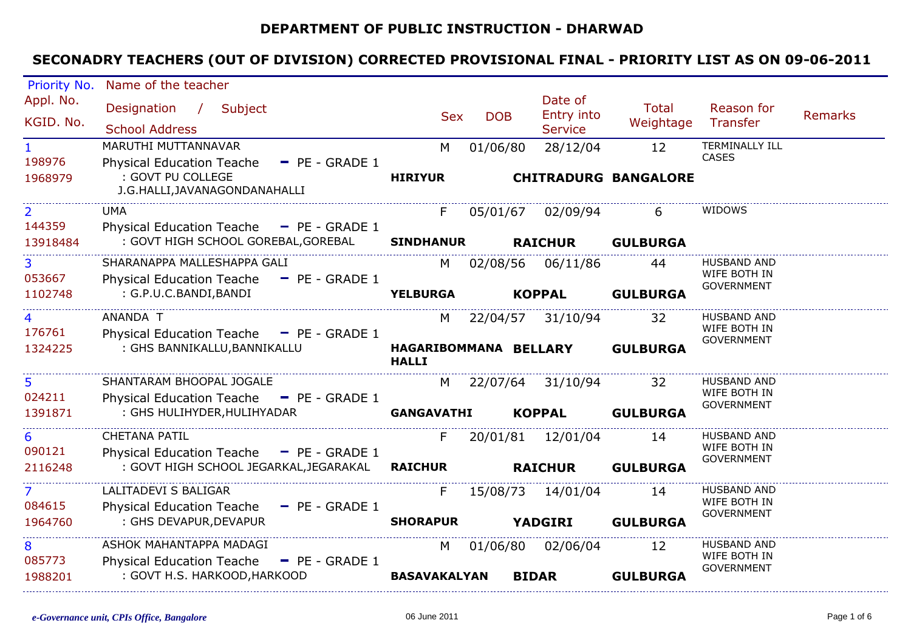#### **DEPARTMENT OF PUBLIC INSTRUCTION - DHARWAD**

| Priority No.       | Name of the teacher                                                             |                       |            |                             |                 |                                       |         |
|--------------------|---------------------------------------------------------------------------------|-----------------------|------------|-----------------------------|-----------------|---------------------------------------|---------|
| Appl. No.          | Designation / Subject                                                           |                       |            | Date of                     | <b>Total</b>    | Reason for                            |         |
| KGID. No.          |                                                                                 | <b>Sex</b>            | <b>DOB</b> | Entry into                  | Weightage       | Transfer                              | Remarks |
|                    | <b>School Address</b>                                                           |                       |            | <b>Service</b>              |                 |                                       |         |
| 1                  | MARUTHI MUTTANNAVAR                                                             | M                     | 01/06/80   | 28/12/04                    | 12              | <b>TERMINALLY ILL</b><br><b>CASES</b> |         |
| 198976             | $P = P = GRADE1$<br><b>Physical Education Teache</b>                            |                       |            |                             |                 |                                       |         |
| 1968979            | : GOVT PU COLLEGE<br>J.G.HALLI, JAVANAGONDANAHALLI                              | <b>HIRIYUR</b>        |            | <b>CHITRADURG BANGALORE</b> |                 |                                       |         |
|                    |                                                                                 |                       |            |                             |                 |                                       |         |
| $\overline{2}$     | <b>UMA</b>                                                                      | F.                    | 05/01/67   | 02/09/94                    | 6               | WIDOWS                                |         |
| 144359<br>13918484 | Physical Education Teache - PE - GRADE 1<br>: GOVT HIGH SCHOOL GOREBAL, GOREBAL | <b>SINDHANUR</b>      |            | <b>RAICHUR</b>              | <b>GULBURGA</b> |                                       |         |
|                    |                                                                                 |                       |            |                             |                 |                                       |         |
| 3                  | SHARANAPPA MALLESHAPPA GALI                                                     | M                     | 02/08/56   | 06/11/86                    | 44              | <b>HUSBAND AND</b><br>WIFE BOTH IN    |         |
| 053667             | <b>Physical Education Teache</b><br>$-$ PE - GRADE 1                            |                       |            |                             |                 | <b>GOVERNMENT</b>                     |         |
| 1102748            | : G.P.U.C.BANDI,BANDI                                                           | <b>YELBURGA</b>       |            | <b>KOPPAL</b>               | <b>GULBURGA</b> |                                       |         |
|                    | ANANDA T                                                                        | M                     |            | 22/04/57 31/10/94           | 32              | <b>HUSBAND AND</b>                    |         |
| 176761             | Physical Education Teache - PE - GRADE 1                                        |                       |            |                             |                 | WIFE BOTH IN<br><b>GOVERNMENT</b>     |         |
| 1324225            | : GHS BANNIKALLU, BANNIKALLU                                                    | HAGARIBOMMANA BELLARY |            |                             | <b>GULBURGA</b> |                                       |         |
|                    |                                                                                 | <b>HALLI</b>          |            |                             |                 |                                       |         |
| 5                  | SHANTARAM BHOOPAL JOGALE                                                        | M                     |            | 22/07/64 31/10/94           | 32              | <b>HUSBAND AND</b>                    |         |
| 024211             | Physical Education Teache - PE - GRADE 1                                        |                       |            |                             |                 | WIFE BOTH IN<br><b>GOVERNMENT</b>     |         |
| 1391871            | : GHS HULIHYDER, HULIHYADAR                                                     | <b>GANGAVATHI</b>     |            | <b>KOPPAL</b>               | <b>GULBURGA</b> |                                       |         |
| 6                  | <b>CHETANA PATIL</b>                                                            | F.                    |            | 20/01/81 12/01/04           | 14              | HUSBAND AND                           |         |
| 090121             | Physical Education Teache - PE - GRADE 1                                        |                       |            |                             |                 | WIFE BOTH IN                          |         |
| 2116248            | : GOVT HIGH SCHOOL JEGARKAL,JEGARAKAL                                           | <b>RAICHUR</b>        |            | <b>RAICHUR</b>              | <b>GULBURGA</b> | <b>GOVERNMENT</b>                     |         |
| $\mathcal{L}$      | LALITADEVI S BALIGAR                                                            | F.                    | 15/08/73   | 14/01/04                    | 14              | <b>HUSBAND AND</b>                    |         |
| 084615             | Physical Education Teache - PE - GRADE 1                                        |                       |            |                             |                 | WIFE BOTH IN                          |         |
| 1964760            | : GHS DEVAPUR, DEVAPUR                                                          | <b>SHORAPUR</b>       |            | <b>YADGIRI</b>              | <b>GULBURGA</b> | <b>GOVERNMENT</b>                     |         |
|                    |                                                                                 |                       |            |                             |                 |                                       |         |
| 8                  | ASHOK MAHANTAPPA MADAGI                                                         | M                     | 01/06/80   | 02/06/04                    | 12              | <b>HUSBAND AND</b><br>WIFE BOTH IN    |         |
| 085773             | - PE - GRADE 1<br><b>Physical Education Teache</b>                              |                       |            |                             |                 | <b>GOVERNMENT</b>                     |         |
| 1988201            | : GOVT H.S. HARKOOD, HARKOOD                                                    | <b>BASAVAKALYAN</b>   |            | <b>BIDAR</b>                | <b>GULBURGA</b> |                                       |         |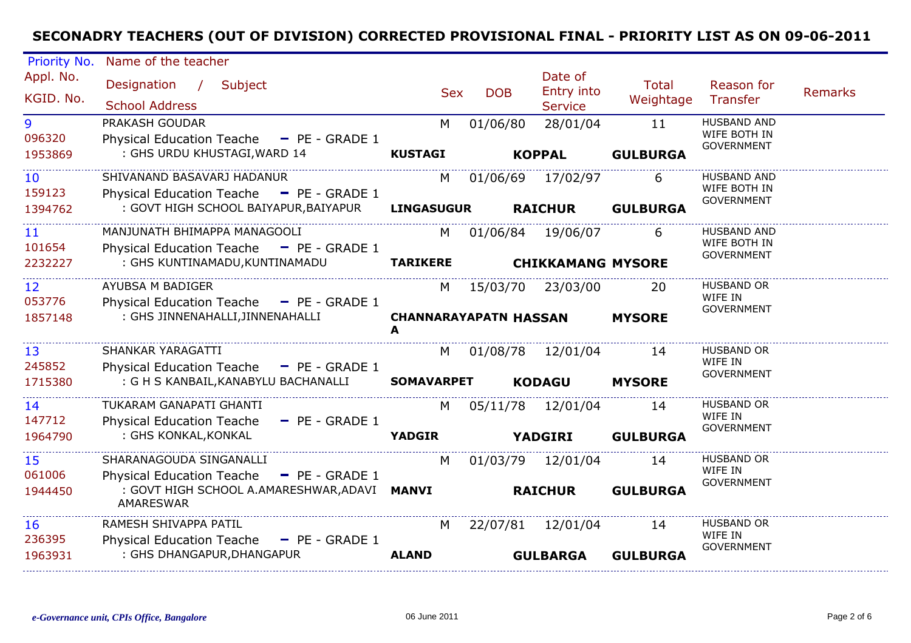| Priority No.                | Name of the teacher                                                                                      |                                   |            |                                         |                       |                                                         |         |
|-----------------------------|----------------------------------------------------------------------------------------------------------|-----------------------------------|------------|-----------------------------------------|-----------------------|---------------------------------------------------------|---------|
| Appl. No.<br>KGID. No.      | Subject<br>Designation<br>$\sqrt{2}$<br><b>School Address</b>                                            | <b>Sex</b>                        | <b>DOB</b> | Date of<br>Entry into<br><b>Service</b> | Total<br>Weightage    | Reason for<br>Transfer                                  | Remarks |
| 9<br>096320<br>1953869      | PRAKASH GOUDAR<br><b>Physical Education Teache</b><br>$P = PE - GRADE 1$<br>: GHS URDU KHUSTAGI, WARD 14 | M<br><b>KUSTAGI</b>               | 01/06/80   | 28/01/04<br><b>KOPPAL</b>               | 11<br><b>GULBURGA</b> | <b>HUSBAND AND</b><br>WIFE BOTH IN<br><b>GOVERNMENT</b> |         |
|                             |                                                                                                          |                                   |            |                                         |                       |                                                         |         |
| 10<br>159123                | SHIVANAND BASAVARJ HADANUR<br>Physical Education Teache - PE - GRADE 1                                   | M                                 | 01/06/69   | 17/02/97                                | 6                     | <b>HUSBAND AND</b><br>WIFE BOTH IN<br><b>GOVERNMENT</b> |         |
| 1394762                     | : GOVT HIGH SCHOOL BAIYAPUR, BAIYAPUR                                                                    | <b>LINGASUGUR</b>                 |            | <b>RAICHUR</b>                          | <b>GULBURGA</b>       |                                                         |         |
| 11<br>101654                | MANJUNATH BHIMAPPA MANAGOOLI<br>Physical Education Teache - PE - GRADE 1                                 | M                                 |            | 01/06/84 19/06/07                       | 6                     | <b>HUSBAND AND</b><br>WIFE BOTH IN                      |         |
| 2232227                     | : GHS KUNTINAMADU, KUNTINAMADU                                                                           | <b>TARIKERE</b>                   |            | <b>CHIKKAMANG MYSORE</b>                |                       | <b>GOVERNMENT</b>                                       |         |
| $12 \overline{ }$<br>053776 | AYUBSA M BADIGER<br>Physical Education Teache - PE - GRADE 1                                             | M                                 | 15/03/70   | 23/03/00                                | 20                    | <b>HUSBAND OR</b><br>WIFE IN<br><b>GOVERNMENT</b>       |         |
| 1857148                     | : GHS JINNENAHALLI, JINNENAHALLI                                                                         | <b>CHANNARAYAPATN HASSAN</b><br>A |            |                                         | <b>MYSORE</b>         |                                                         |         |
| 13<br>245852                | SHANKAR YARAGATTI<br><b>Physical Education Teache</b><br>$-$ PE - GRADE 1                                | M                                 | 01/08/78   | 12/01/04                                | 14                    | <b>HUSBAND OR</b><br>WIFE IN<br><b>GOVERNMENT</b>       |         |
| 1715380                     | : G H S KANBAIL, KANABYLU BACHANALLI                                                                     | <b>SOMAVARPET</b>                 |            | <b>KODAGU</b>                           | <b>MYSORE</b>         |                                                         |         |
| 14<br>147712                | TUKARAM GANAPATI GHANTI<br><b>Physical Education Teache</b><br>$-$ PE - GRADE 1                          | M                                 |            | 05/11/78 12/01/04                       | 14                    | <b>HUSBAND OR</b><br>WIFE IN                            |         |
| 1964790                     | : GHS KONKAL, KONKAL                                                                                     | <b>YADGIR</b><br><b>YADGIRI</b>   |            |                                         | <b>GULBURGA</b>       | <b>GOVERNMENT</b>                                       |         |
| 15<br>061006                | SHARANAGOUDA SINGANALLI<br>- PE - GRADE 1<br><b>Physical Education Teache</b>                            | M                                 | 01/03/79   | 12/01/04                                | 14                    | <b>HUSBAND OR</b><br>WIFE IN                            |         |
| 1944450                     | : GOVT HIGH SCHOOL A.AMARESHWAR, ADAVI MANVI<br>AMARESWAR                                                |                                   |            | <b>RAICHUR</b>                          | <b>GULBURGA</b>       | <b>GOVERNMENT</b>                                       |         |
| <b>16</b><br>236395         | RAMESH SHIVAPPA PATIL<br><b>Physical Education Teache</b><br>$P = P = GRADE 1$                           | M                                 | 22/07/81   | 12/01/04                                | 14                    | HUSBAND OR<br>WIFE IN                                   |         |
| 1963931                     | : GHS DHANGAPUR, DHANGAPUR                                                                               | <b>ALAND</b>                      |            | <b>GULBARGA</b>                         | <b>GULBURGA</b>       | <b>GOVERNMENT</b>                                       |         |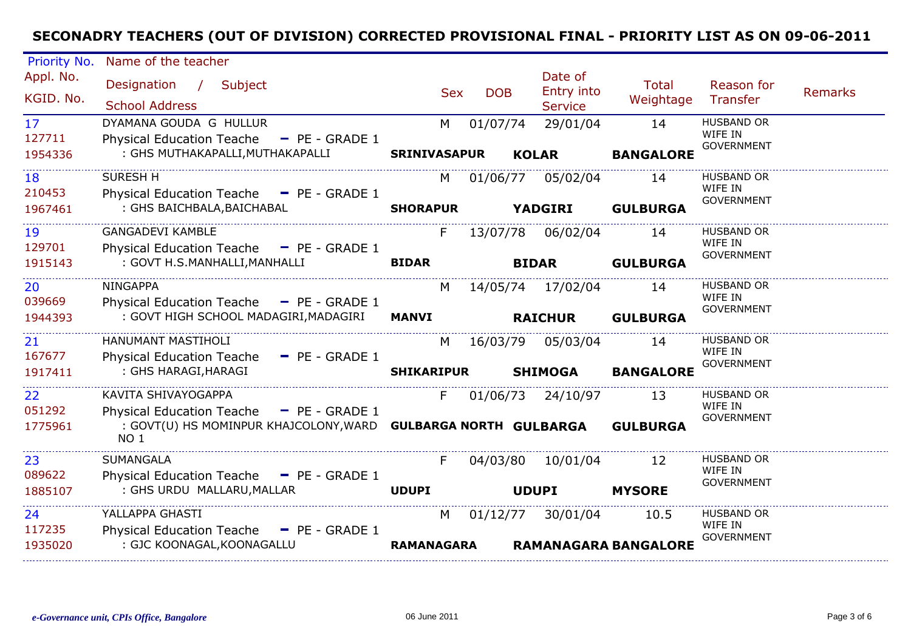| Priority No.              | Name of the teacher                                                      |                     |            |              |              |                                         |                             |                                                   |                |
|---------------------------|--------------------------------------------------------------------------|---------------------|------------|--------------|--------------|-----------------------------------------|-----------------------------|---------------------------------------------------|----------------|
| Appl. No.<br>KGID. No.    | Designation / Subject<br><b>School Address</b>                           |                     | <b>Sex</b> | <b>DOB</b>   |              | Date of<br>Entry into<br><b>Service</b> | <b>Total</b><br>Weightage   | Reason for<br>Transfer                            | <b>Remarks</b> |
| 17 <sup>2</sup><br>127711 | DYAMANA GOUDA G HULLUR<br>Physical Education Teache - PE - GRADE 1       |                     | M          | 01/07/74     |              | 29/01/04                                | 14                          | <b>HUSBAND OR</b><br>WIFE IN<br><b>GOVERNMENT</b> |                |
| 1954336                   | : GHS MUTHAKAPALLI, MUTHAKAPALLI                                         | <b>SRINIVASAPUR</b> |            |              | <b>KOLAR</b> |                                         | <b>BANGALORE</b>            |                                                   |                |
| 18<br>210453              | <b>SURESH H</b><br>Physical Education Teache - PE - GRADE 1              |                     | M          | 01/06/77     |              | 05/02/04                                | 14                          | <b>HUSBAND OR</b><br>WIFE IN                      |                |
| 1967461                   | : GHS BAICHBALA, BAICHABAL                                               | <b>SHORAPUR</b>     |            |              |              | <b>YADGIRI</b>                          | <b>GULBURGA</b>             | <b>GOVERNMENT</b>                                 |                |
| 19<br>129701              | <b>GANGADEVI KAMBLE</b><br>Physical Education Teache - PE - GRADE 1      |                     | F.         |              |              | 13/07/78 06/02/04                       | 14                          | <b>HUSBAND OR</b><br>WIFE IN                      |                |
| 1915143                   | : GOVT H.S.MANHALLI, MANHALLI                                            | <b>BIDAR</b>        |            | <b>BIDAR</b> |              | <b>GULBURGA</b>                         | <b>GOVERNMENT</b>           |                                                   |                |
| 20<br>039669              | <b>NINGAPPA</b><br>Physical Education Teache - PE - GRADE 1              |                     | M          |              |              | 14/05/74 17/02/04                       | 14                          | <b>HUSBAND OR</b><br>WIFE IN                      |                |
| 1944393                   | : GOVT HIGH SCHOOL MADAGIRI, MADAGIRI MANVI                              |                     |            |              |              | <b>RAICHUR</b>                          | <b>GULBURGA</b>             | <b>GOVERNMENT</b>                                 |                |
| 21                        | HANUMANT MASTIHOLI                                                       |                     | M          | 16/03/79     |              | 05/03/04                                | 14                          | <b>HUSBAND OR</b><br>WIFE IN                      |                |
| 167677<br>1917411         | Physical Education Teache - PE - GRADE 1<br>: GHS HARAGI, HARAGI         | <b>SHIKARIPUR</b>   |            |              |              | <b>SHIMOGA</b>                          | <b>BANGALORE</b>            | <b>GOVERNMENT</b>                                 |                |
| 22<br>051292              | KAVITA SHIVAYOGAPPA<br>Physical Education Teache - PE - GRADE 1          |                     | F.         |              |              | 01/06/73 24/10/97                       | 13                          | <b>HUSBAND OR</b><br>WIFE IN                      |                |
| 1775961                   | : GOVT(U) HS MOMINPUR KHAJCOLONY, WARD GULBARGA NORTH GULBARGA<br>NO 1   |                     |            |              |              |                                         | <b>GULBURGA</b>             | <b>GOVERNMENT</b>                                 |                |
| 23<br>089622              | <b>SUMANGALA</b>                                                         |                     | F.         | 04/03/80     |              | 10/01/04                                | 12                          | <b>HUSBAND OR</b><br>WIFE IN                      |                |
| 1885107                   | Physical Education Teache - PE - GRADE 1<br>: GHS URDU MALLARU, MALLAR   | <b>UDUPI</b>        |            |              | <b>UDUPI</b> |                                         | <b>MYSORE</b>               | <b>GOVERNMENT</b>                                 |                |
| 24<br>117235              | YALLAPPA GHASTI<br>Physical Education Teache $\blacksquare$ PE - GRADE 1 |                     | M          | 01/12/77     |              | 30/01/04                                | 10.5                        | <b>HUSBAND OR</b><br>WIFE IN                      |                |
| 1935020                   | : GJC KOONAGAL, KOONAGALLU                                               | <b>RAMANAGARA</b>   |            |              |              |                                         | <b>RAMANAGARA BANGALORE</b> | <b>GOVERNMENT</b>                                 |                |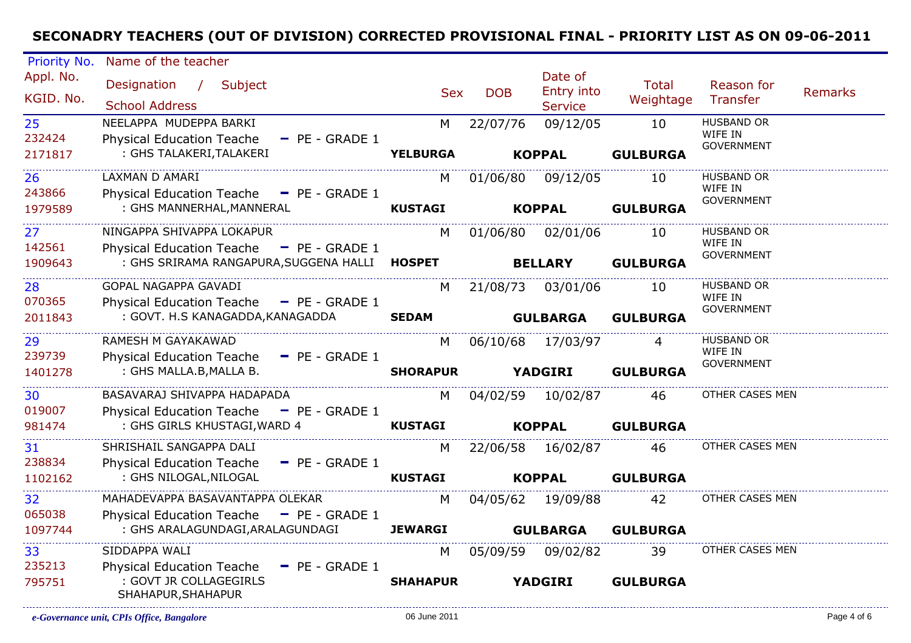| Priority No. | Name of the teacher                                             |                 |                |                       |                 |                              |                |
|--------------|-----------------------------------------------------------------|-----------------|----------------|-----------------------|-----------------|------------------------------|----------------|
| Appl. No.    | Designation / Subject                                           | <b>Sex</b>      | <b>DOB</b>     | Date of<br>Entry into | Total           | Reason for                   | <b>Remarks</b> |
| KGID. No.    | <b>School Address</b>                                           |                 |                | <b>Service</b>        | Weightage       | Transfer                     |                |
| 25           | NEELAPPA MUDEPPA BARKI                                          | M               | 22/07/76       | 09/12/05              | 10              | <b>HUSBAND OR</b>            |                |
| 232424       | <b>Physical Education Teache</b><br>$-$ PE - GRADE 1            |                 |                |                       |                 | WIFE IN<br><b>GOVERNMENT</b> |                |
| 2171817      | : GHS TALAKERI, TALAKERI                                        | <b>YELBURGA</b> |                | <b>KOPPAL</b>         | <b>GULBURGA</b> |                              |                |
| 26           | LAXMAN D AMARI                                                  | M               | 01/06/80       | 09/12/05              | 10              | <b>HUSBAND OR</b>            |                |
| 243866       | Physical Education Teache - PE - GRADE 1                        |                 |                |                       |                 | WIFE IN<br>GOVERNMENT        |                |
| 1979589      | : GHS MANNERHAL, MANNERAL                                       | <b>KUSTAGI</b>  | <b>KOPPAL</b>  |                       | <b>GULBURGA</b> |                              |                |
| 27           | NINGAPPA SHIVAPPA LOKAPUR                                       | M               | 01/06/80       | 02/01/06              | 10              | <b>HUSBAND OR</b>            |                |
| 142561       | Physical Education Teache - PE - GRADE 1                        |                 |                |                       |                 | WIFE IN<br><b>GOVERNMENT</b> |                |
| 1909643      | : GHS SRIRAMA RANGAPURA, SUGGENA HALLI HOSPET                   |                 | <b>BELLARY</b> |                       | <b>GULBURGA</b> |                              |                |
| 28           | <b>GOPAL NAGAPPA GAVADI</b>                                     | M               | 21/08/73       | 03/01/06              | 10              | <b>HUSBAND OR</b>            |                |
| 070365       | Physical Education Teache - PE - GRADE 1                        |                 |                |                       |                 | WIFE IN<br><b>GOVERNMENT</b> |                |
| 2011843      | : GOVT. H.S KANAGADDA, KANAGADDA                                | <b>SEDAM</b>    |                | <b>GULBARGA</b>       | <b>GULBURGA</b> |                              |                |
| 29           | RAMESH M GAYAKAWAD                                              | M               |                | 06/10/68 17/03/97     | 4               | <b>HUSBAND OR</b>            |                |
| 239739       | <b>Physical Education Teache</b><br>$\blacksquare$ PE - GRADE 1 |                 |                |                       |                 | WIFE IN<br><b>GOVERNMENT</b> |                |
| 1401278      | : GHS MALLA.B, MALLA B.                                         | <b>SHORAPUR</b> |                | <b>YADGIRI</b>        | <b>GULBURGA</b> |                              |                |
| 30           | BASAVARAJ SHIVAPPA HADAPADA                                     | M               |                | 04/02/59 10/02/87     | 46              | OTHER CASES MEN              |                |
| 019007       | $P$ PE - GRADE 1<br><b>Physical Education Teache</b>            |                 |                |                       |                 |                              |                |
| 981474       | : GHS GIRLS KHUSTAGI, WARD 4                                    | <b>KUSTAGI</b>  |                | <b>KOPPAL</b>         | <b>GULBURGA</b> |                              |                |
| 31           | SHRISHAIL SANGAPPA DALI                                         | M               |                | 22/06/58 16/02/87     | 46              | OTHER CASES MEN              |                |
| 238834       | <b>Physical Education Teache</b><br>$-$ PE - GRADE 1            |                 |                |                       |                 |                              |                |
| 1102162      | : GHS NILOGAL, NILOGAL                                          | <b>KUSTAGI</b>  |                | <b>KOPPAL</b>         | <b>GULBURGA</b> |                              |                |
| 32           | MAHADEVAPPA BASAVANTAPPA OLEKAR                                 | M               |                | 04/05/62 19/09/88     | 42              | OTHER CASES MEN              |                |
| 065038       | Physical Education Teache - PE - GRADE 1                        |                 |                |                       |                 |                              |                |
| 1097744      | : GHS ARALAGUNDAGI, ARALAGUNDAGI                                | <b>JEWARGI</b>  |                | <b>GULBARGA</b>       | <b>GULBURGA</b> |                              |                |
| 33           | SIDDAPPA WALI                                                   | M               | 05/09/59       | 09/02/82              | 39              | OTHER CASES MEN              |                |
| 235213       | <b>Physical Education Teache</b><br>$-$ PE - GRADE 1            |                 |                |                       |                 |                              |                |
| 795751       | : GOVT JR COLLAGEGIRLS<br>SHAHAPUR, SHAHAPUR                    | <b>SHAHAPUR</b> |                | <b>YADGIRI</b>        | <b>GULBURGA</b> |                              |                |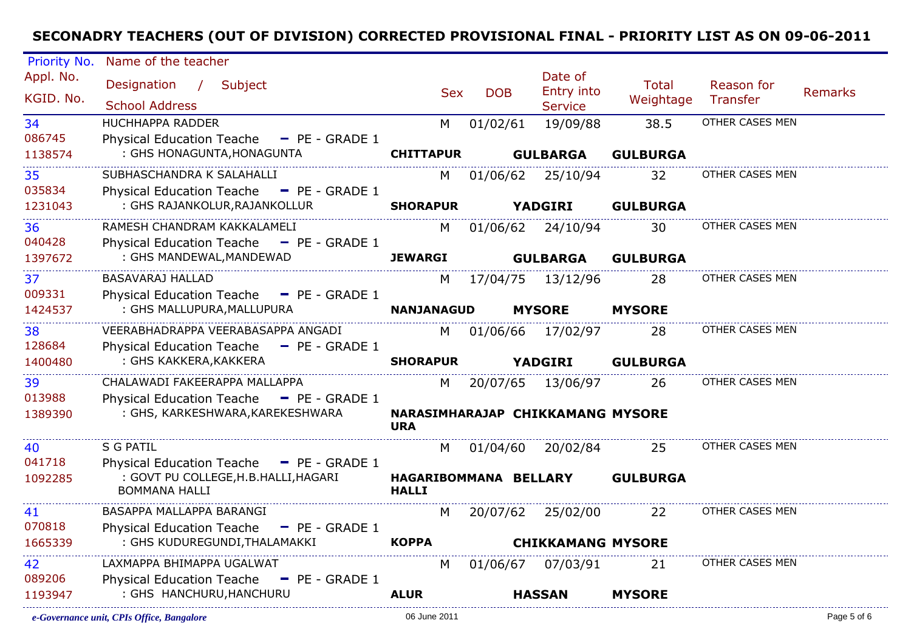| Priority No.           | Name of the teacher                                                                                       |                                       |            |                                         |                                  |                        |                |
|------------------------|-----------------------------------------------------------------------------------------------------------|---------------------------------------|------------|-----------------------------------------|----------------------------------|------------------------|----------------|
| Appl. No.<br>KGID. No. | Designation /<br>Subject<br><b>School Address</b>                                                         | <b>Sex</b>                            | <b>DOB</b> | Date of<br>Entry into<br><b>Service</b> | <b>Total</b><br>Weightage        | Reason for<br>Transfer | <b>Remarks</b> |
| 34                     | <b>HUCHHAPPA RADDER</b>                                                                                   | M                                     | 01/02/61   | 19/09/88                                | 38.5                             | OTHER CASES MEN        |                |
| 086745<br>1138574      | <b>Physical Education Teache</b><br>$\blacksquare$ PE - GRADE 1<br>: GHS HONAGUNTA, HONAGUNTA             | <b>CHITTAPUR</b>                      |            | <b>GULBARGA</b>                         | <b>GULBURGA</b>                  |                        |                |
| 35<br>035834           | SUBHASCHANDRA K SALAHALLI<br>Physical Education Teache - PE - GRADE 1                                     | M                                     | 01/06/62   | 25/10/94                                | 32                               | OTHER CASES MEN        |                |
| 1231043                | : GHS RAJANKOLUR, RAJANKOLLUR                                                                             | <b>SHORAPUR</b>                       |            | <b>YADGIRI</b>                          | <b>GULBURGA</b>                  |                        |                |
| 36<br>040428           | RAMESH CHANDRAM KAKKALAMELI<br><b>Physical Education Teache</b><br>$P = P = GRADE 1$                      | M                                     |            | 01/06/62 24/10/94                       | 30                               | OTHER CASES MEN        |                |
| 1397672                | : GHS MANDEWAL, MANDEWAD                                                                                  | <b>JEWARGI</b>                        |            | <b>GULBARGA</b>                         | <b>GULBURGA</b>                  |                        |                |
| 37<br>009331           | <b>BASAVARAJ HALLAD</b><br>Physical Education Teache - PE - GRADE 1                                       | M                                     |            | 17/04/75  13/12/96                      | 28                               | OTHER CASES MEN        |                |
| 1424537                | : GHS MALLUPURA, MALLUPURA                                                                                | <b>NANJANAGUD</b>                     |            | <b>MYSORE</b>                           | <b>MYSORE</b>                    |                        |                |
| 38<br>128684           | VEERABHADRAPPA VEERABASAPPA ANGADI<br><b>Physical Education Teache</b><br>$-$ PE - GRADE 1                | M                                     | 01/06/66   | 17/02/97                                | 28                               | OTHER CASES MEN        |                |
| 1400480                | : GHS KAKKERA, KAKKERA                                                                                    | <b>SHORAPUR</b>                       |            | <b>YADGIRI</b>                          | <b>GULBURGA</b>                  |                        |                |
| 39<br>013988           | CHALAWADI FAKEERAPPA MALLAPPA<br>Physical Education Teache - PE - GRADE 1                                 | M                                     | 20/07/65   | 13/06/97                                | 26                               | OTHER CASES MEN        |                |
| 1389390                | : GHS, KARKESHWARA, KAREKESHWARA                                                                          | <b>URA</b>                            |            |                                         | NARASIMHARAJAP CHIKKAMANG MYSORE |                        |                |
| 40                     | <b>S G PATIL</b>                                                                                          | M                                     | 01/04/60   | 20/02/84                                | 25                               | OTHER CASES MEN        |                |
| 041718<br>1092285      | Physical Education Teache - PE - GRADE 1<br>: GOVT PU COLLEGE, H.B. HALLI, HAGARI<br><b>BOMMANA HALLI</b> | HAGARIBOMMANA BELLARY<br><b>HALLI</b> |            |                                         | <b>GULBURGA</b>                  |                        |                |
| 41                     | BASAPPA MALLAPPA BARANGI                                                                                  | M                                     |            | 20/07/62 25/02/00                       | 22                               | OTHER CASES MEN        |                |
| 070818<br>1665339      | <b>Physical Education Teache</b><br>$-$ PE - GRADE 1<br>: GHS KUDUREGUNDI, THALAMAKKI                     | <b>KOPPA</b>                          |            |                                         | <b>CHIKKAMANG MYSORE</b>         |                        |                |
| 42                     | LAXMAPPA BHIMAPPA UGALWAT                                                                                 | M                                     | 01/06/67   | 07/03/91                                | 21                               | OTHER CASES MEN        |                |
| 089206<br>1193947      | <b>Physical Education Teache</b><br>$P = P = GRADE 1$<br>: GHS HANCHURU, HANCHURU                         | <b>ALUR</b>                           |            | <b>HASSAN</b>                           | <b>MYSORE</b>                    |                        |                |